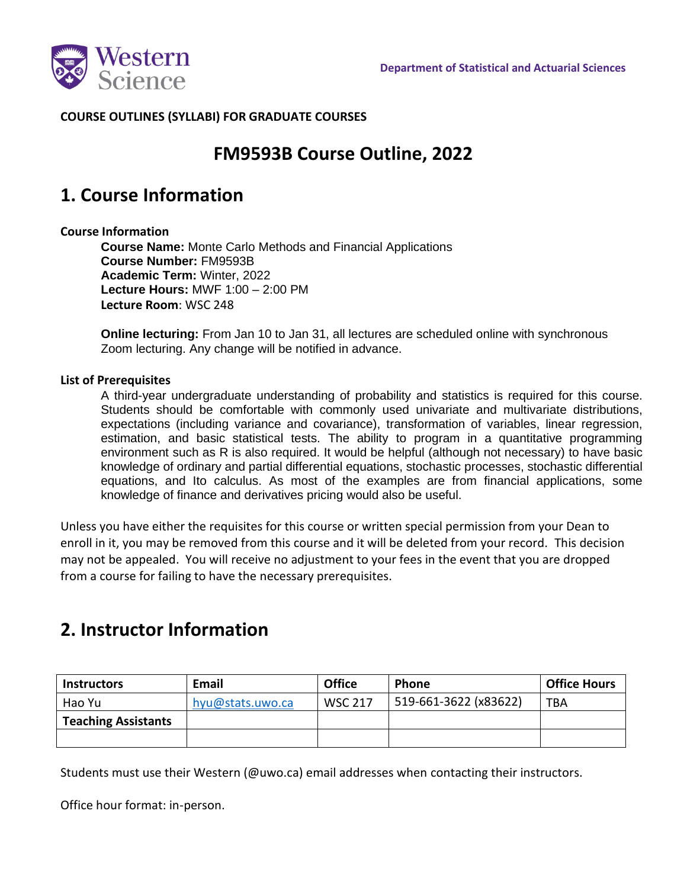

## **COURSE OUTLINES (SYLLABI) FOR GRADUATE COURSES**

## **FM9593B Course Outline, 2022**

## **1. Course Information**

#### **Course Information**

**Course Name:** Monte Carlo Methods and Financial Applications **Course Number:** FM9593B **Academic Term:** Winter, 2022 **Lecture Hours:** MWF 1:00 – 2:00 PM **Lecture Room**: WSC 248

**Online lecturing:** From Jan 10 to Jan 31, all lectures are scheduled online with synchronous Zoom lecturing. Any change will be notified in advance.

#### **List of Prerequisites**

A third-year undergraduate understanding of probability and statistics is required for this course. Students should be comfortable with commonly used univariate and multivariate distributions, expectations (including variance and covariance), transformation of variables, linear regression, estimation, and basic statistical tests. The ability to program in a quantitative programming environment such as R is also required. It would be helpful (although not necessary) to have basic knowledge of ordinary and partial differential equations, stochastic processes, stochastic differential equations, and Ito calculus. As most of the examples are from financial applications, some knowledge of finance and derivatives pricing would also be useful.

Unless you have either the requisites for this course or written special permission from your Dean to enroll in it, you may be removed from this course and it will be deleted from your record. This decision may not be appealed. You will receive no adjustment to your fees in the event that you are dropped from a course for failing to have the necessary prerequisites.

# **2. Instructor Information**

| <b>Instructors</b>         | <b>Email</b>     | <b>Office</b>  | <b>Phone</b>          | <b>Office Hours</b> |
|----------------------------|------------------|----------------|-----------------------|---------------------|
| Hao Yu                     | hyu@stats.uwo.ca | <b>WSC 217</b> | 519-661-3622 (x83622) | <b>TBA</b>          |
| <b>Teaching Assistants</b> |                  |                |                       |                     |
|                            |                  |                |                       |                     |

Students must use their Western (@uwo.ca) email addresses when contacting their instructors.

Office hour format: in-person.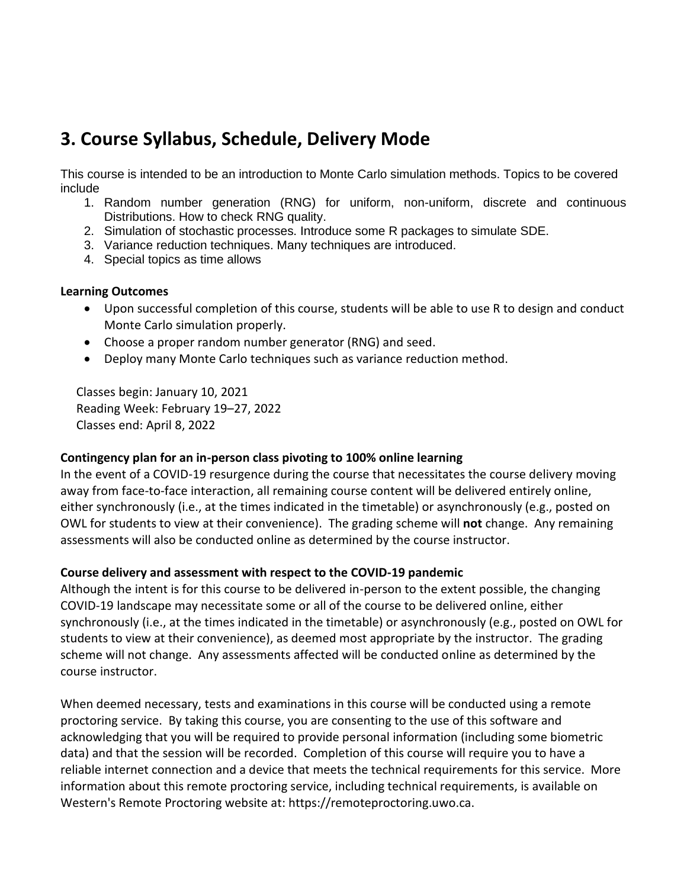# **3. Course Syllabus, Schedule, Delivery Mode**

This course is intended to be an introduction to Monte Carlo simulation methods. Topics to be covered include

- 1. Random number generation (RNG) for uniform, non-uniform, discrete and continuous Distributions. How to check RNG quality.
- 2. Simulation of stochastic processes. Introduce some R packages to simulate SDE.
- 3. Variance reduction techniques. Many techniques are introduced.
- 4. Special topics as time allows

#### **Learning Outcomes**

- Upon successful completion of this course, students will be able to use R to design and conduct Monte Carlo simulation properly.
- Choose a proper random number generator (RNG) and seed.
- Deploy many Monte Carlo techniques such as variance reduction method.

Classes begin: January 10, 2021 Reading Week: February 19–27, 2022 Classes end: April 8, 2022

#### **Contingency plan for an in-person class pivoting to 100% online learning**

In the event of a COVID-19 resurgence during the course that necessitates the course delivery moving away from face-to-face interaction, all remaining course content will be delivered entirely online, either synchronously (i.e., at the times indicated in the timetable) or asynchronously (e.g., posted on OWL for students to view at their convenience). The grading scheme will **not** change. Any remaining assessments will also be conducted online as determined by the course instructor.

### **Course delivery and assessment with respect to the COVID-19 pandemic**

Although the intent is for this course to be delivered in-person to the extent possible, the changing COVID-19 landscape may necessitate some or all of the course to be delivered online, either synchronously (i.e., at the times indicated in the timetable) or asynchronously (e.g., posted on OWL for students to view at their convenience), as deemed most appropriate by the instructor. The grading scheme will not change. Any assessments affected will be conducted online as determined by the course instructor.

When deemed necessary, tests and examinations in this course will be conducted using a remote proctoring service. By taking this course, you are consenting to the use of this software and acknowledging that you will be required to provide personal information (including some biometric data) and that the session will be recorded. Completion of this course will require you to have a reliable internet connection and a device that meets the technical requirements for this service. More information about this remote proctoring service, including technical requirements, is available on Western's Remote Proctoring website at: https://remoteproctoring.uwo.ca.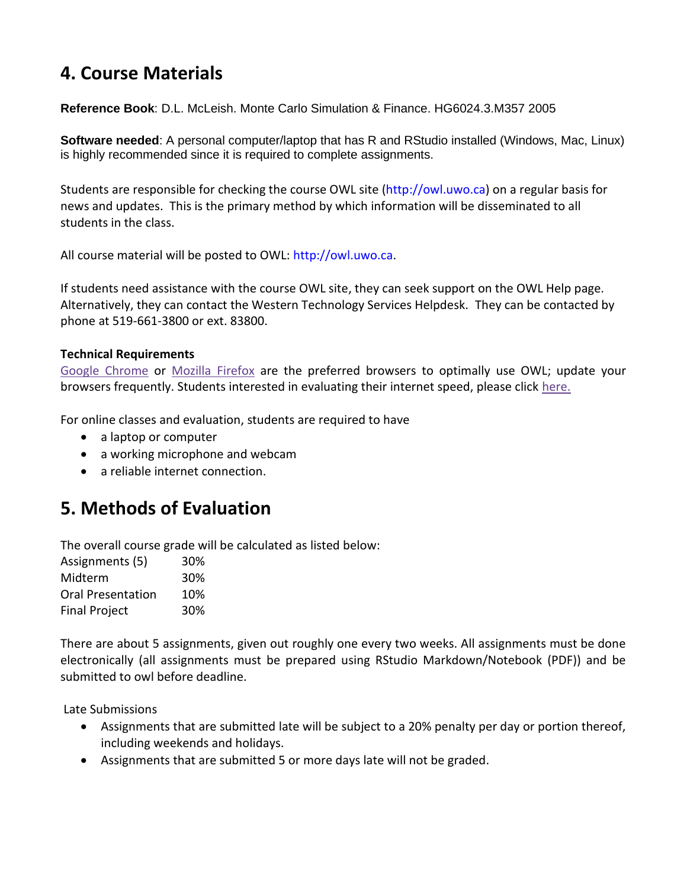# **4. Course Materials**

**Reference Book**: D.L. McLeish. Monte Carlo Simulation & Finance. HG6024.3.M357 2005

**Software needed**: A personal computer/laptop that has R and RStudio installed (Windows, Mac, Linux) is highly recommended since it is required to complete assignments.

Students are responsible for checking the course OWL site (http://owl.uwo.ca) on a regular basis for news and updates. This is the primary method by which information will be disseminated to all students in the class.

All course material will be posted to OWL: http://owl.uwo.ca.

If students need assistance with the course OWL site, they can seek support on the OWL Help page. Alternatively, they can contact the Western Technology Services Helpdesk. They can be contacted by phone at 519-661-3800 or ext. 83800.

### **Technical Requirements**

[Google Chrome](https://www.google.ca/chrome/?brand=CHBD&gclid=CjwKCAjwxLH3BRApEiwAqX9arfg8JaH6fWGASk9bHTkfW_dyBir93A1-TliP-7u1Kguf-WZsoGAPhBoC9NYQAvD_BwE&gclsrc=aw.ds) or [Mozilla Firefox](https://www.mozilla.org/en-CA/) are the preferred browsers to optimally use OWL; update your browsers frequently. Students interested in evaluating their internet speed, please click [here.](https://www.google.com/search?q=internet+speed+test+google&rlz=1C5CHFA_enCA702CA702&oq=internet+speed+test+google&aqs=chrome..69i57j0l7.3608j0j4&sourceid=chrome&ie=UTF-8)

For online classes and evaluation, students are required to have

- a laptop or computer
- a working microphone and webcam
- a reliable internet connection.

## **5. Methods of Evaluation**

The overall course grade will be calculated as listed below:

| Assignments (5)          | 30% |
|--------------------------|-----|
| Midterm                  | 30% |
| <b>Oral Presentation</b> | 10% |
| <b>Final Project</b>     | 30% |

There are about 5 assignments, given out roughly one every two weeks. All assignments must be done electronically (all assignments must be prepared using RStudio Markdown/Notebook (PDF)) and be submitted to owl before deadline.

Late Submissions

- Assignments that are submitted late will be subject to a 20% penalty per day or portion thereof, including weekends and holidays.
- Assignments that are submitted 5 or more days late will not be graded.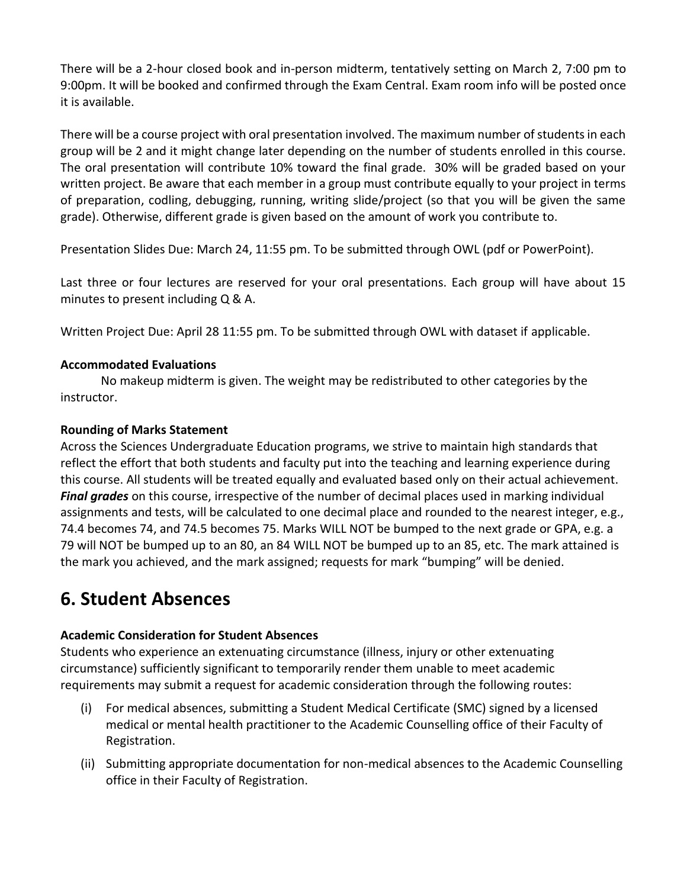There will be a 2-hour closed book and in-person midterm, tentatively setting on March 2, 7:00 pm to 9:00pm. It will be booked and confirmed through the Exam Central. Exam room info will be posted once it is available.

There will be a course project with oral presentation involved. The maximum number of students in each group will be 2 and it might change later depending on the number of students enrolled in this course. The oral presentation will contribute 10% toward the final grade. 30% will be graded based on your written project. Be aware that each member in a group must contribute equally to your project in terms of preparation, codling, debugging, running, writing slide/project (so that you will be given the same grade). Otherwise, different grade is given based on the amount of work you contribute to.

Presentation Slides Due: March 24, 11:55 pm. To be submitted through OWL (pdf or PowerPoint).

Last three or four lectures are reserved for your oral presentations. Each group will have about 15 minutes to present including Q & A.

Written Project Due: April 28 11:55 pm. To be submitted through OWL with dataset if applicable.

### **Accommodated Evaluations**

No makeup midterm is given. The weight may be redistributed to other categories by the instructor.

### **Rounding of Marks Statement**

Across the Sciences Undergraduate Education programs, we strive to maintain high standards that reflect the effort that both students and faculty put into the teaching and learning experience during this course. All students will be treated equally and evaluated based only on their actual achievement. *Final grades* on this course, irrespective of the number of decimal places used in marking individual assignments and tests, will be calculated to one decimal place and rounded to the nearest integer, e.g., 74.4 becomes 74, and 74.5 becomes 75. Marks WILL NOT be bumped to the next grade or GPA, e.g. a 79 will NOT be bumped up to an 80, an 84 WILL NOT be bumped up to an 85, etc. The mark attained is the mark you achieved, and the mark assigned; requests for mark "bumping" will be denied.

## **6. Student Absences**

## **Academic Consideration for Student Absences**

Students who experience an extenuating circumstance (illness, injury or other extenuating circumstance) sufficiently significant to temporarily render them unable to meet academic requirements may submit a request for academic consideration through the following routes:

- (i) For medical absences, submitting a Student Medical Certificate (SMC) signed by a licensed medical or mental health practitioner to the Academic Counselling office of their Faculty of Registration.
- (ii) Submitting appropriate documentation for non-medical absences to the Academic Counselling office in their Faculty of Registration.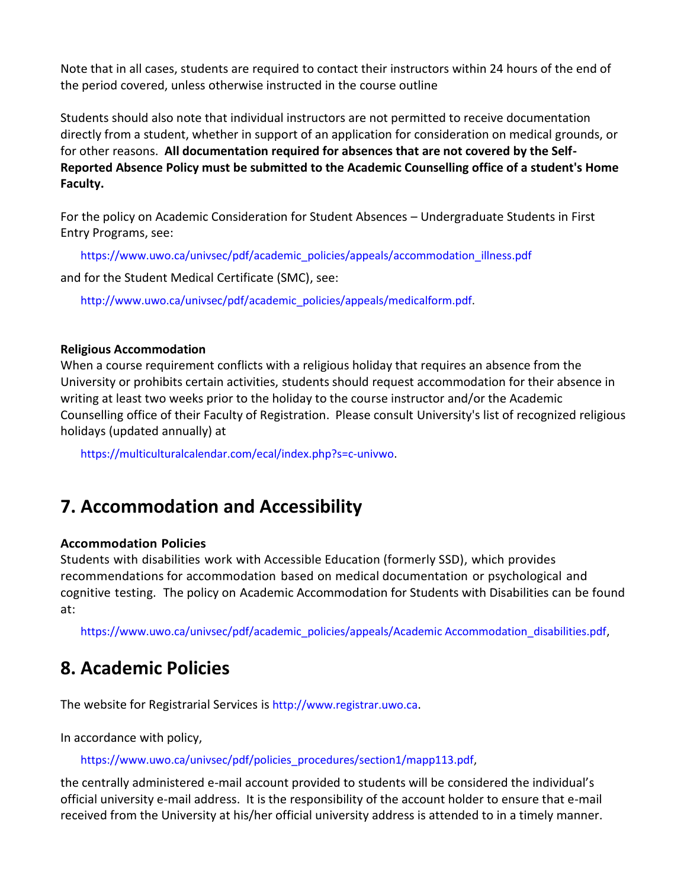Note that in all cases, students are required to contact their instructors within 24 hours of the end of the period covered, unless otherwise instructed in the course outline

Students should also note that individual instructors are not permitted to receive documentation directly from a student, whether in support of an application for consideration on medical grounds, or for other reasons. **All documentation required for absences that are not covered by the Self-Reported Absence Policy must be submitted to the Academic Counselling office of a student's Home Faculty.**

For the policy on Academic Consideration for Student Absences – Undergraduate Students in First Entry Programs, see:

https://www.uwo.ca/univsec/pdf/academic\_policies/appeals/accommodation\_illness.pdf

and for the Student Medical Certificate (SMC), see:

http://www.uwo.ca/univsec/pdf/academic\_policies/appeals/medicalform.pdf.

### **Religious Accommodation**

When a course requirement conflicts with a religious holiday that requires an absence from the University or prohibits certain activities, students should request accommodation for their absence in writing at least two weeks prior to the holiday to the course instructor and/or the Academic Counselling office of their Faculty of Registration. Please consult University's list of recognized religious holidays (updated annually) at

https://multiculturalcalendar.com/ecal/index.php?s=c-univwo.

# **7. Accommodation and Accessibility**

## **Accommodation Policies**

Students with disabilities work with Accessible Education (formerly SSD), which provides recommendations for accommodation based on medical documentation or psychological and cognitive testing. The policy on Academic Accommodation for Students with Disabilities can be found at:

https://www.uwo.ca/univsec/pdf/academic\_policies/appeals/Academic Accommodation\_disabilities.pdf,

## **8. Academic Policies**

The website for Registrarial Services is http://www.registrar.uwo.ca.

In accordance with policy,

https://www.uwo.ca/univsec/pdf/policies\_procedures/section1/mapp113.pdf,

the centrally administered e-mail account provided to students will be considered the individual's official university e-mail address. It is the responsibility of the account holder to ensure that e-mail received from the University at his/her official university address is attended to in a timely manner.